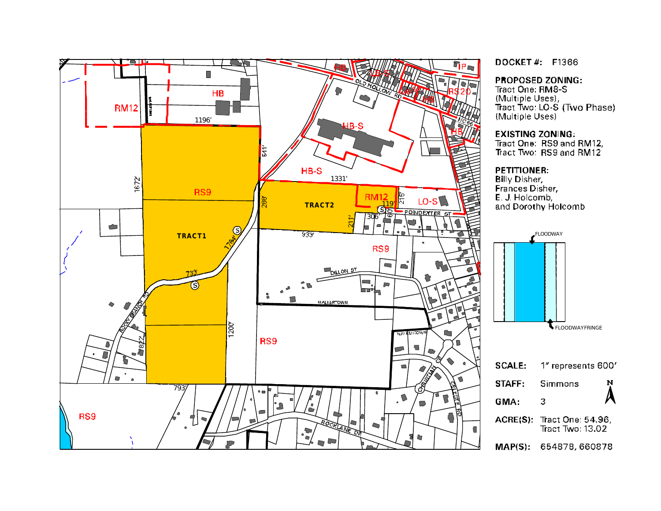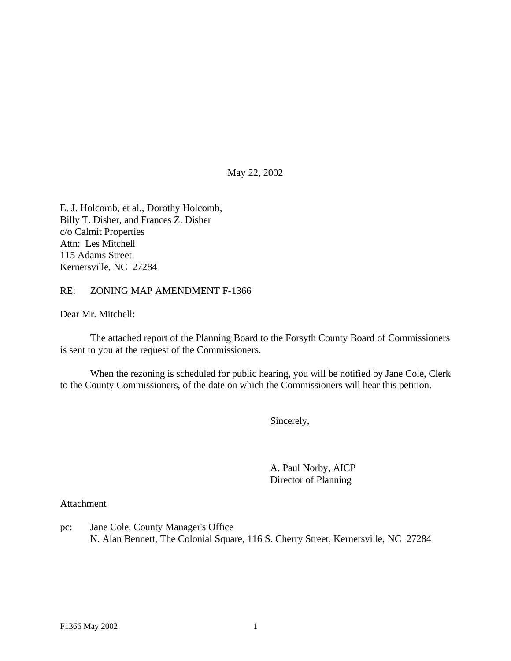May 22, 2002

E. J. Holcomb, et al., Dorothy Holcomb, Billy T. Disher, and Frances Z. Disher c/o Calmit Properties Attn: Les Mitchell 115 Adams Street Kernersville, NC 27284

#### RE: ZONING MAP AMENDMENT F-1366

Dear Mr. Mitchell:

The attached report of the Planning Board to the Forsyth County Board of Commissioners is sent to you at the request of the Commissioners.

When the rezoning is scheduled for public hearing, you will be notified by Jane Cole, Clerk to the County Commissioners, of the date on which the Commissioners will hear this petition.

Sincerely,

A. Paul Norby, AICP Director of Planning

Attachment

pc: Jane Cole, County Manager's Office N. Alan Bennett, The Colonial Square, 116 S. Cherry Street, Kernersville, NC 27284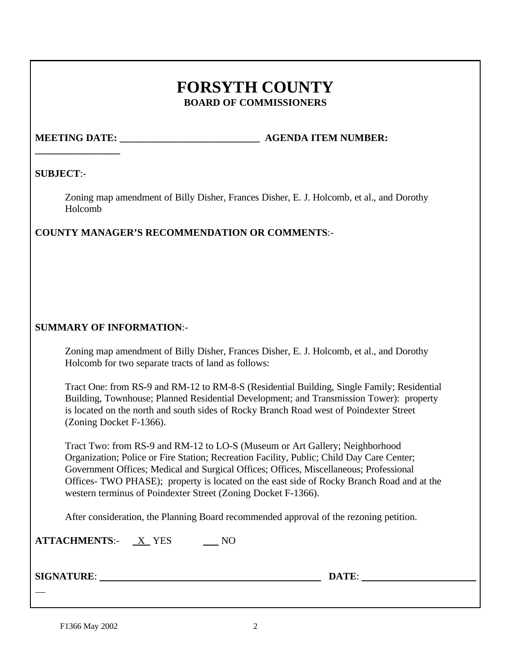## **FORSYTH COUNTY BOARD OF COMMISSIONERS**

# **\_\_\_\_\_\_\_\_\_\_\_\_\_\_\_\_\_**

**MEETING DATE: WE AGENDA ITEM NUMBER:** 

## **SUBJECT**:-

Zoning map amendment of Billy Disher, Frances Disher, E. J. Holcomb, et al., and Dorothy Holcomb

## **COUNTY MANAGER'S RECOMMENDATION OR COMMENTS**:-

## **SUMMARY OF INFORMATION**:-

Zoning map amendment of Billy Disher, Frances Disher, E. J. Holcomb, et al., and Dorothy Holcomb for two separate tracts of land as follows:

Tract One: from RS-9 and RM-12 to RM-8-S (Residential Building, Single Family; Residential Building, Townhouse; Planned Residential Development; and Transmission Tower): property is located on the north and south sides of Rocky Branch Road west of Poindexter Street (Zoning Docket F-1366).

Tract Two: from RS-9 and RM-12 to LO-S (Museum or Art Gallery; Neighborhood Organization; Police or Fire Station; Recreation Facility, Public; Child Day Care Center; Government Offices; Medical and Surgical Offices; Offices, Miscellaneous; Professional Offices- TWO PHASE); property is located on the east side of Rocky Branch Road and at the western terminus of Poindexter Street (Zoning Docket F-1366).

After consideration, the Planning Board recommended approval of the rezoning petition.

| <b>ATTACHMENTS:-</b> | X YES |  |
|----------------------|-------|--|
|----------------------|-------|--|

**SIGNATURE**: **DATE**:

 $\overline{a}$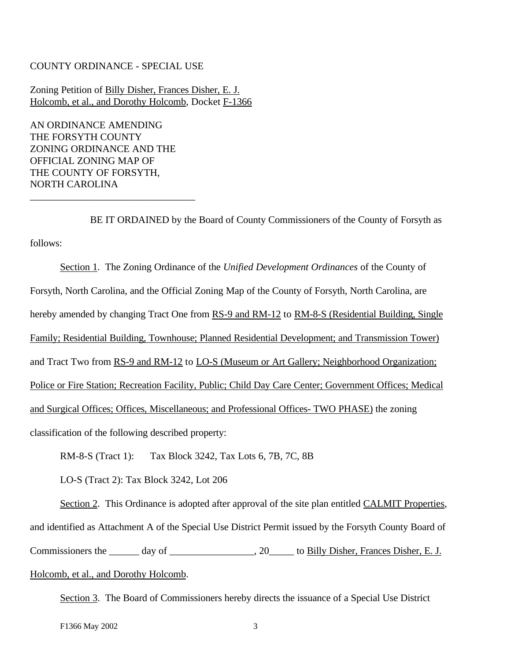#### COUNTY ORDINANCE - SPECIAL USE

Zoning Petition of Billy Disher, Frances Disher, E. J. Holcomb, et al., and Dorothy Holcomb, Docket F-1366

AN ORDINANCE AMENDING THE FORSYTH COUNTY ZONING ORDINANCE AND THE OFFICIAL ZONING MAP OF THE COUNTY OF FORSYTH, NORTH CAROLINA

\_\_\_\_\_\_\_\_\_\_\_\_\_\_\_\_\_\_\_\_\_\_\_\_\_\_\_\_\_\_\_\_\_

BE IT ORDAINED by the Board of County Commissioners of the County of Forsyth as follows:

Section 1. The Zoning Ordinance of the *Unified Development Ordinances* of the County of Forsyth, North Carolina, and the Official Zoning Map of the County of Forsyth, North Carolina, are hereby amended by changing Tract One from RS-9 and RM-12 to RM-8-S (Residential Building, Single Family; Residential Building, Townhouse; Planned Residential Development; and Transmission Tower) and Tract Two from RS-9 and RM-12 to LO-S (Museum or Art Gallery; Neighborhood Organization; Police or Fire Station; Recreation Facility, Public; Child Day Care Center; Government Offices; Medical and Surgical Offices; Offices, Miscellaneous; and Professional Offices- TWO PHASE) the zoning classification of the following described property:

RM-8-S (Tract 1): Tax Block 3242, Tax Lots 6, 7B, 7C, 8B

LO-S (Tract 2): Tax Block 3242, Lot 206

Section 2. This Ordinance is adopted after approval of the site plan entitled CALMIT Properties, and identified as Attachment A of the Special Use District Permit issued by the Forsyth County Board of Commissioners the \_\_\_\_\_\_ day of \_\_\_\_\_\_\_\_\_\_\_\_\_\_\_, 20\_\_\_\_\_ to Billy Disher, Frances Disher, E. J. Holcomb, et al., and Dorothy Holcomb.

Section 3. The Board of Commissioners hereby directs the issuance of a Special Use District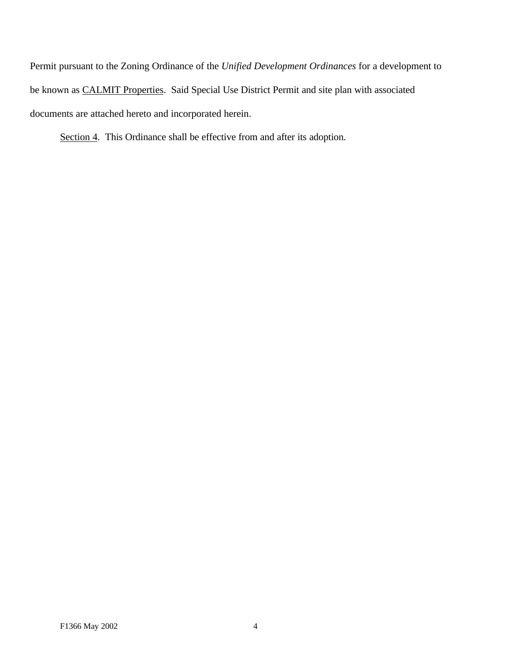Permit pursuant to the Zoning Ordinance of the *Unified Development Ordinances* for a development to be known as CALMIT Properties. Said Special Use District Permit and site plan with associated documents are attached hereto and incorporated herein.

Section 4. This Ordinance shall be effective from and after its adoption.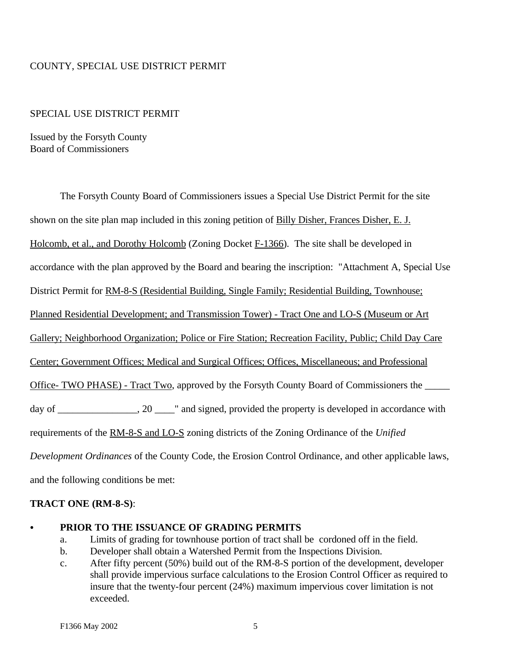## COUNTY, SPECIAL USE DISTRICT PERMIT

#### SPECIAL USE DISTRICT PERMIT

Issued by the Forsyth County Board of Commissioners

The Forsyth County Board of Commissioners issues a Special Use District Permit for the site shown on the site plan map included in this zoning petition of Billy Disher, Frances Disher, E. J. Holcomb, et al., and Dorothy Holcomb (Zoning Docket F-1366). The site shall be developed in accordance with the plan approved by the Board and bearing the inscription: "Attachment A, Special Use District Permit for RM-8-S (Residential Building, Single Family; Residential Building, Townhouse; Planned Residential Development; and Transmission Tower) - Tract One and LO-S (Museum or Art Gallery; Neighborhood Organization; Police or Fire Station; Recreation Facility, Public; Child Day Care Center; Government Offices; Medical and Surgical Offices; Offices, Miscellaneous; and Professional Office- TWO PHASE) - Tract Two, approved by the Forsyth County Board of Commissioners the \_\_\_\_\_\_\_ day of \_\_\_\_\_\_\_\_\_\_\_\_\_, 20 \_\_\_\_\_\_" and signed, provided the property is developed in accordance with requirements of the RM-8-S and LO-S zoning districts of the Zoning Ordinance of the *Unified Development Ordinances* of the County Code, the Erosion Control Ordinance, and other applicable laws, and the following conditions be met:

#### **TRACT ONE (RM-8-S)**:

#### C **PRIOR TO THE ISSUANCE OF GRADING PERMITS**

- a. Limits of grading for townhouse portion of tract shall be cordoned off in the field.
- b. Developer shall obtain a Watershed Permit from the Inspections Division.
- c. After fifty percent (50%) build out of the RM-8-S portion of the development, developer shall provide impervious surface calculations to the Erosion Control Officer as required to insure that the twenty-four percent (24%) maximum impervious cover limitation is not exceeded.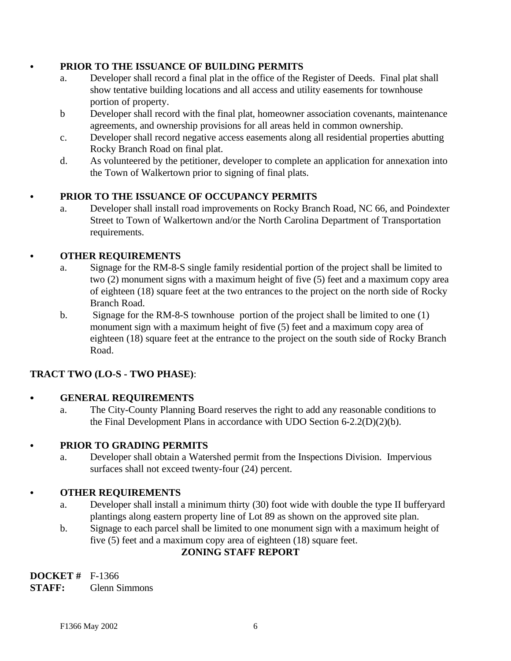## C **PRIOR TO THE ISSUANCE OF BUILDING PERMITS**

- a. Developer shall record a final plat in the office of the Register of Deeds. Final plat shall show tentative building locations and all access and utility easements for townhouse portion of property.
- b Developer shall record with the final plat, homeowner association covenants, maintenance agreements, and ownership provisions for all areas held in common ownership.
- c. Developer shall record negative access easements along all residential properties abutting Rocky Branch Road on final plat.
- d. As volunteered by the petitioner, developer to complete an application for annexation into the Town of Walkertown prior to signing of final plats.

## C **PRIOR TO THE ISSUANCE OF OCCUPANCY PERMITS**

a. Developer shall install road improvements on Rocky Branch Road, NC 66, and Poindexter Street to Town of Walkertown and/or the North Carolina Department of Transportation requirements.

## **• OTHER REQUIREMENTS**

- a. Signage for the RM-8-S single family residential portion of the project shall be limited to two (2) monument signs with a maximum height of five (5) feet and a maximum copy area of eighteen (18) square feet at the two entrances to the project on the north side of Rocky Branch Road.
- b. Signage for the RM-8-S townhouse portion of the project shall be limited to one (1) monument sign with a maximum height of five (5) feet and a maximum copy area of eighteen (18) square feet at the entrance to the project on the south side of Rocky Branch Road.

## **TRACT TWO (LO-S - TWO PHASE)**:

## **• GENERAL REQUIREMENTS**

a. The City-County Planning Board reserves the right to add any reasonable conditions to the Final Development Plans in accordance with UDO Section 6-2.2(D)(2)(b).

## C **PRIOR TO GRADING PERMITS**

a. Developer shall obtain a Watershed permit from the Inspections Division. Impervious surfaces shall not exceed twenty-four (24) percent.

## **• OTHER REQUIREMENTS**

- a. Developer shall install a minimum thirty (30) foot wide with double the type II bufferyard plantings along eastern property line of Lot 89 as shown on the approved site plan.
- b. Signage to each parcel shall be limited to one monument sign with a maximum height of five (5) feet and a maximum copy area of eighteen (18) square feet.

## **ZONING STAFF REPORT**

**DOCKET #** F-1366 **STAFF:** Glenn Simmons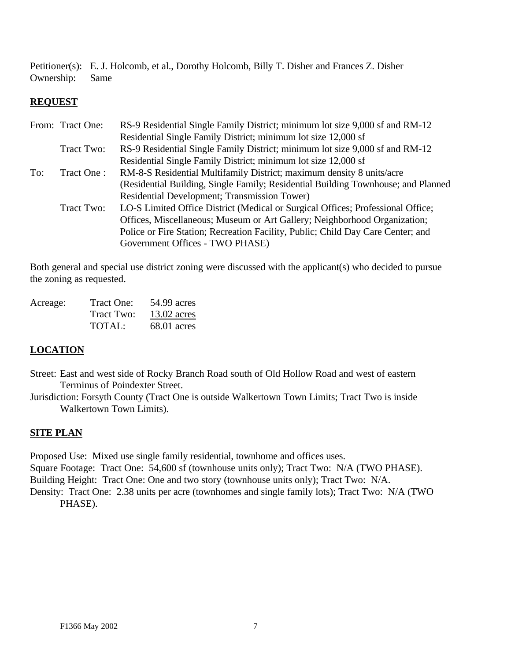Petitioner(s): E. J. Holcomb, et al., Dorothy Holcomb, Billy T. Disher and Frances Z. Disher Ownership: Same

## **REQUEST**

|            | RS-9 Residential Single Family District; minimum lot size 9,000 sf and RM-12      |
|------------|-----------------------------------------------------------------------------------|
|            | Residential Single Family District; minimum lot size 12,000 sf                    |
| Tract Two: | RS-9 Residential Single Family District; minimum lot size 9,000 sf and RM-12      |
|            | Residential Single Family District; minimum lot size 12,000 sf                    |
| Tract One: | RM-8-S Residential Multifamily District; maximum density 8 units/acre             |
|            | (Residential Building, Single Family; Residential Building Townhouse; and Planned |
|            | Residential Development; Transmission Tower)                                      |
| Tract Two: | LO-S Limited Office District (Medical or Surgical Offices; Professional Office;   |
|            | Offices, Miscellaneous; Museum or Art Gallery; Neighborhood Organization;         |
|            | Police or Fire Station; Recreation Facility, Public; Child Day Care Center; and   |
|            | Government Offices - TWO PHASE)                                                   |
|            | From: Tract One:                                                                  |

Both general and special use district zoning were discussed with the applicant(s) who decided to pursue the zoning as requested.

| Acreage: | Tract One: | 54.99 acres   |
|----------|------------|---------------|
|          | Tract Two: | $13.02$ acres |
|          | TOTAL:     | $68.01$ acres |

## **LOCATION**

Street: East and west side of Rocky Branch Road south of Old Hollow Road and west of eastern Terminus of Poindexter Street.

Jurisdiction: Forsyth County (Tract One is outside Walkertown Town Limits; Tract Two is inside Walkertown Town Limits).

## **SITE PLAN**

Proposed Use: Mixed use single family residential, townhome and offices uses. Square Footage: Tract One: 54,600 sf (townhouse units only); Tract Two: N/A (TWO PHASE). Building Height: Tract One: One and two story (townhouse units only); Tract Two: N/A. Density: Tract One: 2.38 units per acre (townhomes and single family lots); Tract Two: N/A (TWO

PHASE).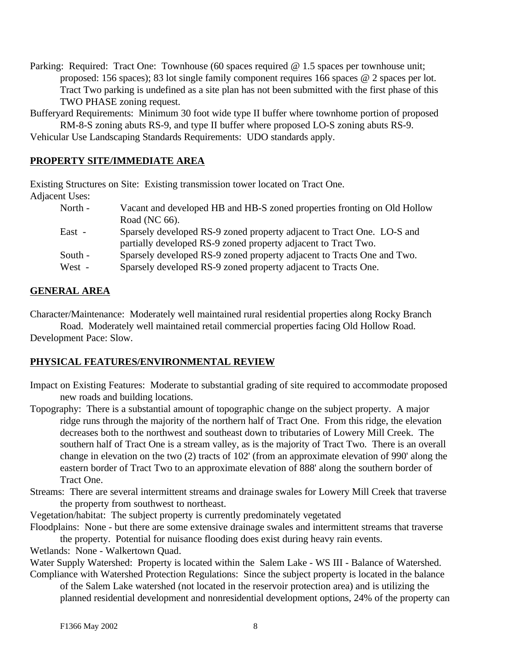Parking: Required: Tract One: Townhouse (60 spaces required @ 1.5 spaces per townhouse unit; proposed: 156 spaces); 83 lot single family component requires 166 spaces @ 2 spaces per lot. Tract Two parking is undefined as a site plan has not been submitted with the first phase of this TWO PHASE zoning request.

Bufferyard Requirements: Minimum 30 foot wide type II buffer where townhome portion of proposed RM-8-S zoning abuts RS-9, and type II buffer where proposed LO-S zoning abuts RS-9.

Vehicular Use Landscaping Standards Requirements: UDO standards apply.

## **PROPERTY SITE/IMMEDIATE AREA**

Existing Structures on Site: Existing transmission tower located on Tract One. Adjacent Uses:

| North - | Vacant and developed HB and HB-S zoned properties fronting on Old Hollow |
|---------|--------------------------------------------------------------------------|
|         | Road (NC 66).                                                            |
| East -  | Sparsely developed RS-9 zoned property adjacent to Tract One. LO-S and   |
|         | partially developed RS-9 zoned property adjacent to Tract Two.           |
| South - | Sparsely developed RS-9 zoned property adjacent to Tracts One and Two.   |
| West -  | Sparsely developed RS-9 zoned property adjacent to Tracts One.           |

## **GENERAL AREA**

Character/Maintenance: Moderately well maintained rural residential properties along Rocky Branch

Road. Moderately well maintained retail commercial properties facing Old Hollow Road. Development Pace: Slow.

## **PHYSICAL FEATURES/ENVIRONMENTAL REVIEW**

Impact on Existing Features: Moderate to substantial grading of site required to accommodate proposed new roads and building locations.

Topography: There is a substantial amount of topographic change on the subject property. A major ridge runs through the majority of the northern half of Tract One. From this ridge, the elevation decreases both to the northwest and southeast down to tributaries of Lowery Mill Creek. The southern half of Tract One is a stream valley, as is the majority of Tract Two. There is an overall change in elevation on the two (2) tracts of 102' (from an approximate elevation of 990' along the eastern border of Tract Two to an approximate elevation of 888' along the southern border of Tract One.

Streams: There are several intermittent streams and drainage swales for Lowery Mill Creek that traverse the property from southwest to northeast.

Vegetation/habitat: The subject property is currently predominately vegetated

Floodplains: None - but there are some extensive drainage swales and intermittent streams that traverse the property. Potential for nuisance flooding does exist during heavy rain events.

Wetlands: None - Walkertown Quad.

Water Supply Watershed: Property is located within the Salem Lake - WS III - Balance of Watershed. Compliance with Watershed Protection Regulations: Since the subject property is located in the balance

of the Salem Lake watershed (not located in the reservoir protection area) and is utilizing the planned residential development and nonresidential development options, 24% of the property can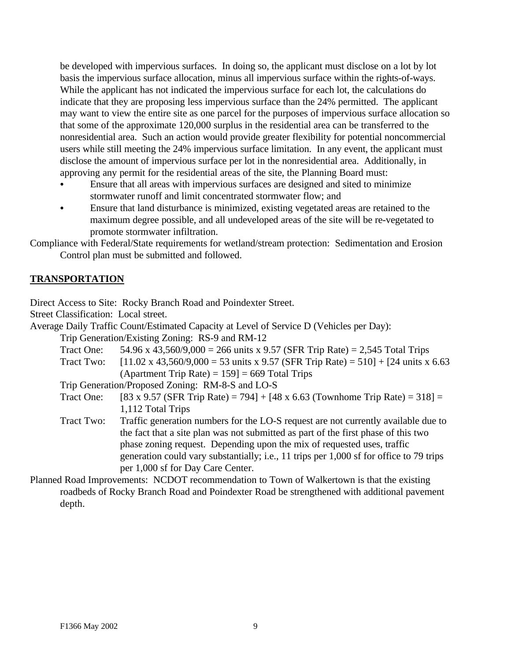be developed with impervious surfaces. In doing so, the applicant must disclose on a lot by lot basis the impervious surface allocation, minus all impervious surface within the rights-of-ways. While the applicant has not indicated the impervious surface for each lot, the calculations do indicate that they are proposing less impervious surface than the 24% permitted. The applicant may want to view the entire site as one parcel for the purposes of impervious surface allocation so that some of the approximate 120,000 surplus in the residential area can be transferred to the nonresidential area. Such an action would provide greater flexibility for potential noncommercial users while still meeting the 24% impervious surface limitation. In any event, the applicant must disclose the amount of impervious surface per lot in the nonresidential area. Additionally, in approving any permit for the residential areas of the site, the Planning Board must:

- Ensure that all areas with impervious surfaces are designed and sited to minimize stormwater runoff and limit concentrated stormwater flow; and
- Ensure that land disturbance is minimized, existing vegetated areas are retained to the maximum degree possible, and all undeveloped areas of the site will be re-vegetated to promote stormwater infiltration.

Compliance with Federal/State requirements for wetland/stream protection: Sedimentation and Erosion Control plan must be submitted and followed.

## **TRANSPORTATION**

Direct Access to Site: Rocky Branch Road and Poindexter Street.

Street Classification: Local street.

Average Daily Traffic Count/Estimated Capacity at Level of Service D (Vehicles per Day):

Trip Generation/Existing Zoning: RS-9 and RM-12

- Tract One:  $54.96 \times 43,560/9,000 = 266$  units x 9.57 (SFR Trip Rate) = 2,545 Total Trips
- Tract Two:  $[11.02 \times 43,560/9,000 = 53 \text{ units} \times 9.57 \text{ (SFR Trip Rate)} = 510] + [24 \text{ units} \times 6.63$ (Apartment Trip Rate)  $= 159$ ]  $= 669$  Total Trips

Trip Generation/Proposed Zoning: RM-8-S and LO-S

Tract One: [83 x 9.57 (SFR Trip Rate) = 794] +  $[48 \times 6.63$  (Townhome Trip Rate) = 318] = 1,112 Total Trips

- Tract Two: Traffic generation numbers for the LO-S request are not currently available due to the fact that a site plan was not submitted as part of the first phase of this two phase zoning request. Depending upon the mix of requested uses, traffic generation could vary substantially; i.e., 11 trips per 1,000 sf for office to 79 trips per 1,000 sf for Day Care Center.
- Planned Road Improvements: NCDOT recommendation to Town of Walkertown is that the existing roadbeds of Rocky Branch Road and Poindexter Road be strengthened with additional pavement depth.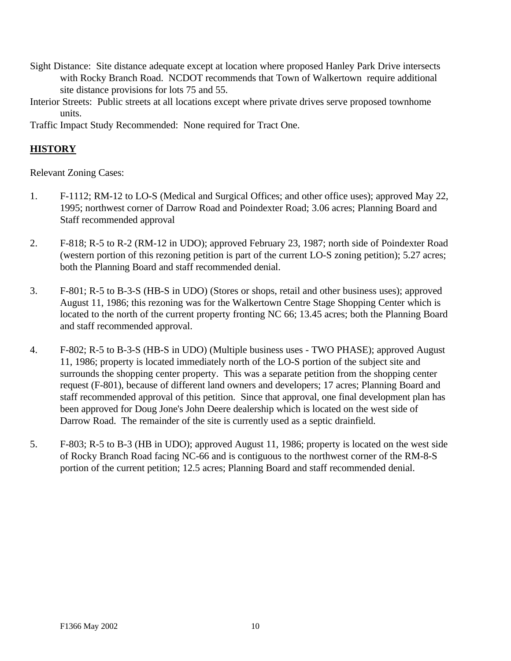- Sight Distance: Site distance adequate except at location where proposed Hanley Park Drive intersects with Rocky Branch Road. NCDOT recommends that Town of Walkertown require additional site distance provisions for lots 75 and 55.
- Interior Streets: Public streets at all locations except where private drives serve proposed townhome units.

Traffic Impact Study Recommended: None required for Tract One.

## **HISTORY**

Relevant Zoning Cases:

- 1. F-1112; RM-12 to LO-S (Medical and Surgical Offices; and other office uses); approved May 22, 1995; northwest corner of Darrow Road and Poindexter Road; 3.06 acres; Planning Board and Staff recommended approval
- 2. F-818; R-5 to R-2 (RM-12 in UDO); approved February 23, 1987; north side of Poindexter Road (western portion of this rezoning petition is part of the current LO-S zoning petition); 5.27 acres; both the Planning Board and staff recommended denial.
- 3. F-801; R-5 to B-3-S (HB-S in UDO) (Stores or shops, retail and other business uses); approved August 11, 1986; this rezoning was for the Walkertown Centre Stage Shopping Center which is located to the north of the current property fronting NC 66; 13.45 acres; both the Planning Board and staff recommended approval.
- 4. F-802; R-5 to B-3-S (HB-S in UDO) (Multiple business uses TWO PHASE); approved August 11, 1986; property is located immediately north of the LO-S portion of the subject site and surrounds the shopping center property. This was a separate petition from the shopping center request (F-801), because of different land owners and developers; 17 acres; Planning Board and staff recommended approval of this petition. Since that approval, one final development plan has been approved for Doug Jone's John Deere dealership which is located on the west side of Darrow Road. The remainder of the site is currently used as a septic drainfield.
- 5. F-803; R-5 to B-3 (HB in UDO); approved August 11, 1986; property is located on the west side of Rocky Branch Road facing NC-66 and is contiguous to the northwest corner of the RM-8-S portion of the current petition; 12.5 acres; Planning Board and staff recommended denial.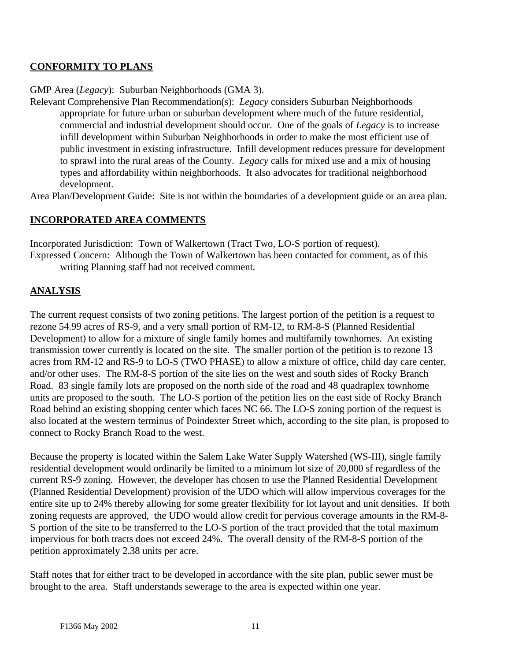## **CONFORMITY TO PLANS**

## GMP Area (*Legacy*): Suburban Neighborhoods (GMA 3).

Relevant Comprehensive Plan Recommendation(s): *Legacy* considers Suburban Neighborhoods appropriate for future urban or suburban development where much of the future residential, commercial and industrial development should occur. One of the goals of *Legacy* is to increase infill development within Suburban Neighborhoods in order to make the most efficient use of public investment in existing infrastructure. Infill development reduces pressure for development to sprawl into the rural areas of the County. *Legacy* calls for mixed use and a mix of housing types and affordability within neighborhoods. It also advocates for traditional neighborhood development.

Area Plan/Development Guide: Site is not within the boundaries of a development guide or an area plan.

## **INCORPORATED AREA COMMENTS**

Incorporated Jurisdiction: Town of Walkertown (Tract Two, LO-S portion of request). Expressed Concern: Although the Town of Walkertown has been contacted for comment, as of this writing Planning staff had not received comment.

## **ANALYSIS**

The current request consists of two zoning petitions. The largest portion of the petition is a request to rezone 54.99 acres of RS-9, and a very small portion of RM-12, to RM-8-S (Planned Residential Development) to allow for a mixture of single family homes and multifamily townhomes. An existing transmission tower currently is located on the site. The smaller portion of the petition is to rezone 13 acres from RM-12 and RS-9 to LO-S (TWO PHASE) to allow a mixture of office, child day care center, and/or other uses. The RM-8-S portion of the site lies on the west and south sides of Rocky Branch Road. 83 single family lots are proposed on the north side of the road and 48 quadraplex townhome units are proposed to the south. The LO-S portion of the petition lies on the east side of Rocky Branch Road behind an existing shopping center which faces NC 66. The LO-S zoning portion of the request is also located at the western terminus of Poindexter Street which, according to the site plan, is proposed to connect to Rocky Branch Road to the west.

Because the property is located within the Salem Lake Water Supply Watershed (WS-III), single family residential development would ordinarily be limited to a minimum lot size of 20,000 sf regardless of the current RS-9 zoning. However, the developer has chosen to use the Planned Residential Development (Planned Residential Development) provision of the UDO which will allow impervious coverages for the entire site up to 24% thereby allowing for some greater flexibility for lot layout and unit densities. If both zoning requests are approved, the UDO would allow credit for pervious coverage amounts in the RM-8- S portion of the site to be transferred to the LO-S portion of the tract provided that the total maximum impervious for both tracts does not exceed 24%. The overall density of the RM-8-S portion of the petition approximately 2.38 units per acre.

Staff notes that for either tract to be developed in accordance with the site plan, public sewer must be brought to the area. Staff understands sewerage to the area is expected within one year.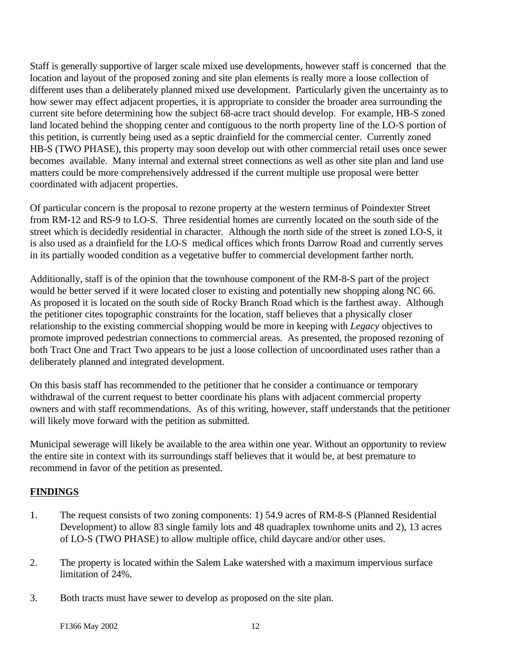Staff is generally supportive of larger scale mixed use developments, however staff is concerned that the location and layout of the proposed zoning and site plan elements is really more a loose collection of different uses than a deliberately planned mixed use development. Particularly given the uncertainty as to how sewer may effect adjacent properties, it is appropriate to consider the broader area surrounding the current site before determining how the subject 68-acre tract should develop. For example, HB-S zoned land located behind the shopping center and contiguous to the north property line of the LO-S portion of this petition, is currently being used as a septic drainfield for the commercial center. Currently zoned HB-S (TWO PHASE), this property may soon develop out with other commercial retail uses once sewer becomes available. Many internal and external street connections as well as other site plan and land use matters could be more comprehensively addressed if the current multiple use proposal were better coordinated with adjacent properties.

Of particular concern is the proposal to rezone property at the western terminus of Poindexter Street from RM-12 and RS-9 to LO-S. Three residential homes are currently located on the south side of the street which is decidedly residential in character. Although the north side of the street is zoned LO-S, it is also used as a drainfield for the LO-S medical offices which fronts Darrow Road and currently serves in its partially wooded condition as a vegetative buffer to commercial development farther north.

Additionally, staff is of the opinion that the townhouse component of the RM-8-S part of the project would be better served if it were located closer to existing and potentially new shopping along NC 66. As proposed it is located on the south side of Rocky Branch Road which is the farthest away. Although the petitioner cites topographic constraints for the location, staff believes that a physically closer relationship to the existing commercial shopping would be more in keeping with *Legacy* objectives to promote improved pedestrian connections to commercial areas. As presented, the proposed rezoning of both Tract One and Tract Two appears to be just a loose collection of uncoordinated uses rather than a deliberately planned and integrated development.

On this basis staff has recommended to the petitioner that he consider a continuance or temporary withdrawal of the current request to better coordinate his plans with adjacent commercial property owners and with staff recommendations. As of this writing, however, staff understands that the petitioner will likely move forward with the petition as submitted.

Municipal sewerage will likely be available to the area within one year. Without an opportunity to review the entire site in context with its surroundings staff believes that it would be, at best premature to recommend in favor of the petition as presented.

## **FINDINGS**

- 1. The request consists of two zoning components: 1) 54.9 acres of RM-8-S (Planned Residential Development) to allow 83 single family lots and 48 quadraplex townhome units and 2), 13 acres of LO-S (TWO PHASE) to allow multiple office, child daycare and/or other uses.
- 2. The property is located within the Salem Lake watershed with a maximum impervious surface limitation of 24%.
- 3. Both tracts must have sewer to develop as proposed on the site plan.

F1366 May 2002 12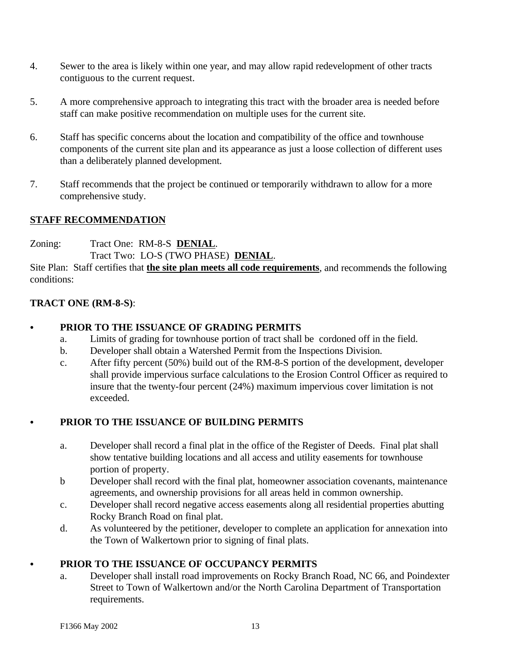- 4. Sewer to the area is likely within one year, and may allow rapid redevelopment of other tracts contiguous to the current request.
- 5. A more comprehensive approach to integrating this tract with the broader area is needed before staff can make positive recommendation on multiple uses for the current site.
- 6. Staff has specific concerns about the location and compatibility of the office and townhouse components of the current site plan and its appearance as just a loose collection of different uses than a deliberately planned development.
- 7. Staff recommends that the project be continued or temporarily withdrawn to allow for a more comprehensive study.

## **STAFF RECOMMENDATION**

Zoning: Tract One: RM-8-S **DENIAL**. Tract Two: LO-S (TWO PHASE) **DENIAL**.

Site Plan: Staff certifies that **the site plan meets all code requirements**, and recommends the following conditions:

## **TRACT ONE (RM-8-S)**:

## C **PRIOR TO THE ISSUANCE OF GRADING PERMITS**

- a. Limits of grading for townhouse portion of tract shall be cordoned off in the field.
- b. Developer shall obtain a Watershed Permit from the Inspections Division.
- c. After fifty percent (50%) build out of the RM-8-S portion of the development, developer shall provide impervious surface calculations to the Erosion Control Officer as required to insure that the twenty-four percent (24%) maximum impervious cover limitation is not exceeded.

## C **PRIOR TO THE ISSUANCE OF BUILDING PERMITS**

- a. Developer shall record a final plat in the office of the Register of Deeds. Final plat shall show tentative building locations and all access and utility easements for townhouse portion of property.
- b Developer shall record with the final plat, homeowner association covenants, maintenance agreements, and ownership provisions for all areas held in common ownership.
- c. Developer shall record negative access easements along all residential properties abutting Rocky Branch Road on final plat.
- d. As volunteered by the petitioner, developer to complete an application for annexation into the Town of Walkertown prior to signing of final plats.

## C **PRIOR TO THE ISSUANCE OF OCCUPANCY PERMITS**

a. Developer shall install road improvements on Rocky Branch Road, NC 66, and Poindexter Street to Town of Walkertown and/or the North Carolina Department of Transportation requirements.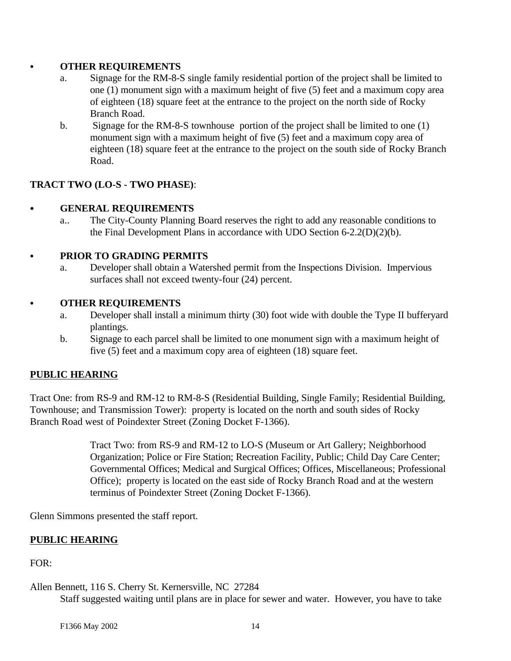## **• OTHER REQUIREMENTS**

- a. Signage for the RM-8-S single family residential portion of the project shall be limited to one (1) monument sign with a maximum height of five (5) feet and a maximum copy area of eighteen (18) square feet at the entrance to the project on the north side of Rocky Branch Road.
- b. Signage for the RM-8-S townhouse portion of the project shall be limited to one (1) monument sign with a maximum height of five (5) feet and a maximum copy area of eighteen (18) square feet at the entrance to the project on the south side of Rocky Branch Road.

## **TRACT TWO (LO-S - TWO PHASE)**:

## **• GENERAL REQUIREMENTS**

a.. The City-County Planning Board reserves the right to add any reasonable conditions to the Final Development Plans in accordance with UDO Section 6-2.2(D)(2)(b).

## C **PRIOR TO GRADING PERMITS**

a. Developer shall obtain a Watershed permit from the Inspections Division. Impervious surfaces shall not exceed twenty-four (24) percent.

#### **• OTHER REQUIREMENTS**

- a. Developer shall install a minimum thirty (30) foot wide with double the Type II bufferyard plantings.
- b. Signage to each parcel shall be limited to one monument sign with a maximum height of five (5) feet and a maximum copy area of eighteen (18) square feet.

## **PUBLIC HEARING**

Tract One: from RS-9 and RM-12 to RM-8-S (Residential Building, Single Family; Residential Building, Townhouse; and Transmission Tower): property is located on the north and south sides of Rocky Branch Road west of Poindexter Street (Zoning Docket F-1366).

> Tract Two: from RS-9 and RM-12 to LO-S (Museum or Art Gallery; Neighborhood Organization; Police or Fire Station; Recreation Facility, Public; Child Day Care Center; Governmental Offices; Medical and Surgical Offices; Offices, Miscellaneous; Professional Office); property is located on the east side of Rocky Branch Road and at the western terminus of Poindexter Street (Zoning Docket F-1366).

Glenn Simmons presented the staff report.

#### **PUBLIC HEARING**

 $FOR:$ 

Allen Bennett, 116 S. Cherry St. Kernersville, NC 27284

Staff suggested waiting until plans are in place for sewer and water. However, you have to take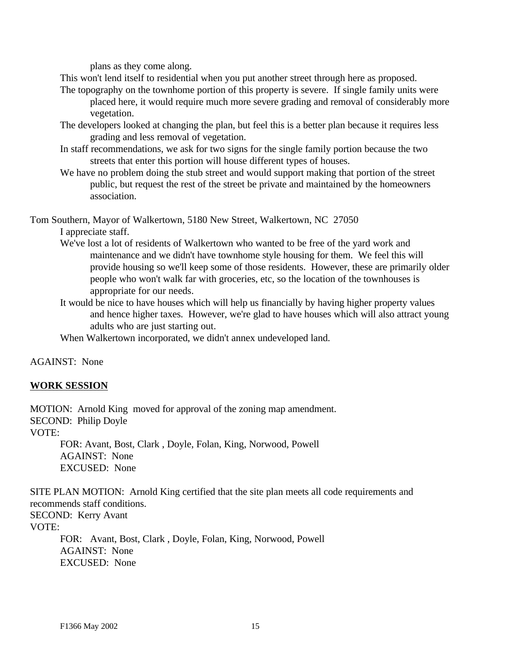plans as they come along.

This won't lend itself to residential when you put another street through here as proposed.

- The topography on the townhome portion of this property is severe. If single family units were placed here, it would require much more severe grading and removal of considerably more vegetation.
- The developers looked at changing the plan, but feel this is a better plan because it requires less grading and less removal of vegetation.
- In staff recommendations, we ask for two signs for the single family portion because the two streets that enter this portion will house different types of houses.
- We have no problem doing the stub street and would support making that portion of the street public, but request the rest of the street be private and maintained by the homeowners association.

Tom Southern, Mayor of Walkertown, 5180 New Street, Walkertown, NC 27050

## I appreciate staff.

- We've lost a lot of residents of Walkertown who wanted to be free of the yard work and maintenance and we didn't have townhome style housing for them. We feel this will provide housing so we'll keep some of those residents. However, these are primarily older people who won't walk far with groceries, etc, so the location of the townhouses is appropriate for our needs.
- It would be nice to have houses which will help us financially by having higher property values and hence higher taxes. However, we're glad to have houses which will also attract young adults who are just starting out.

When Walkertown incorporated, we didn't annex undeveloped land.

#### AGAINST: None

## **WORK SESSION**

MOTION: Arnold King moved for approval of the zoning map amendment. SECOND: Philip Doyle VOTE:

FOR: Avant, Bost, Clark , Doyle, Folan, King, Norwood, Powell AGAINST: None EXCUSED: None

SITE PLAN MOTION: Arnold King certified that the site plan meets all code requirements and recommends staff conditions. SECOND: Kerry Avant VOTE:

FOR: Avant, Bost, Clark , Doyle, Folan, King, Norwood, Powell AGAINST: None EXCUSED: None